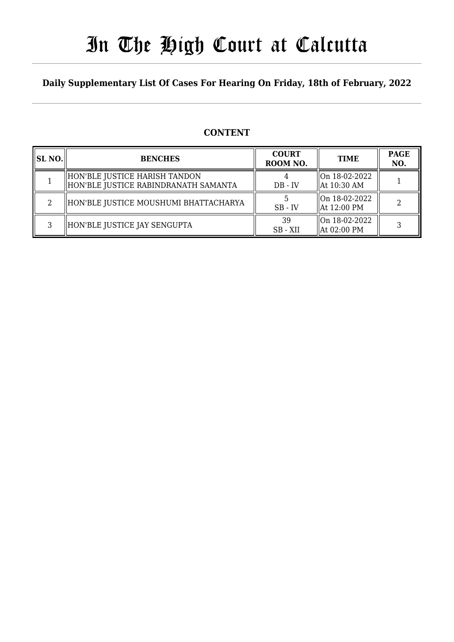# In The High Court at Calcutta

### **Daily Supplementary List Of Cases For Hearing On Friday, 18th of February, 2022**

### **CONTENT**

| SL NO. | <b>BENCHES</b>                                                          | <b>COURT</b><br>ROOM NO. | <b>TIME</b>                                | <b>PAGE</b><br>NO. |
|--------|-------------------------------------------------------------------------|--------------------------|--------------------------------------------|--------------------|
|        | HON'BLE JUSTICE HARISH TANDON<br>  HON'BLE JUSTICE RABINDRANATH SAMANTA | $DB - IV$                | llOn 18-02-2022<br>$\parallel$ At 10:30 AM |                    |
|        | HON'BLE JUSTICE MOUSHUMI BHATTACHARYA                                   | $SB$ - IV                | On 18-02-2022<br>  At 12:00 PM             | 2                  |
| C      | HON'BLE JUSTICE JAY SENGUPTA                                            | 39<br>SB - XII           | On 18-02-2022<br>  At 02:00 PM             |                    |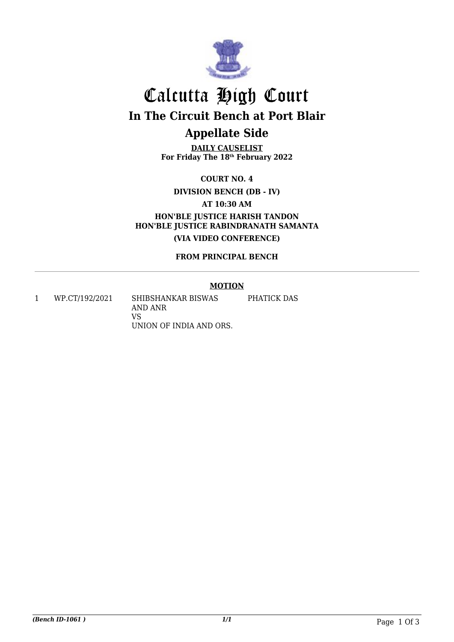

# Calcutta High Court **In The Circuit Bench at Port Blair Appellate Side**

**DAILY CAUSELIST For Friday The 18th February 2022**

**COURT NO. 4**

**DIVISION BENCH (DB - IV)**

**AT 10:30 AM**

**HON'BLE JUSTICE HARISH TANDON HON'BLE JUSTICE RABINDRANATH SAMANTA (VIA VIDEO CONFERENCE)**

**FROM PRINCIPAL BENCH**

#### **MOTION**

1 WP.CT/192/2021 SHIBSHANKAR BISWAS AND ANR VS UNION OF INDIA AND ORS. PHATICK DAS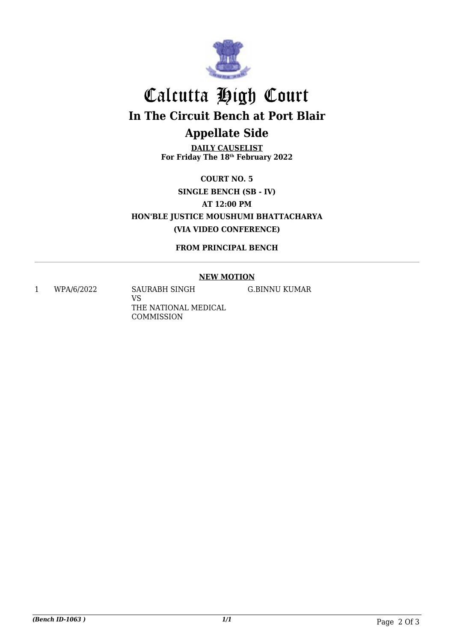

# Calcutta High Court **In The Circuit Bench at Port Blair Appellate Side**

**DAILY CAUSELIST For Friday The 18th February 2022**

**COURT NO. 5 SINGLE BENCH (SB - IV) AT 12:00 PM HON'BLE JUSTICE MOUSHUMI BHATTACHARYA (VIA VIDEO CONFERENCE)**

**FROM PRINCIPAL BENCH**

#### **NEW MOTION**

1 WPA/6/2022 SAURABH SINGH VS THE NATIONAL MEDICAL COMMISSION

G.BINNU KUMAR